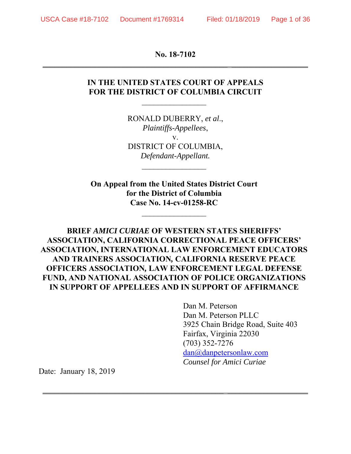**No. 18-7102**   $\mathcal{L} = \{ \mathcal{L} = \{ \mathcal{L} = \mathcal{L} \} \cup \{ \mathcal{L} = \{ \mathcal{L} = \mathcal{L} \} \cup \{ \mathcal{L} = \{ \mathcal{L} = \mathcal{L} = \mathcal{L} \} \cup \{ \mathcal{L} = \{ \mathcal{L} = \mathcal{L} = \mathcal{L} = \mathcal{L} = \mathcal{L} \} \cup \{ \mathcal{L} = \{ \mathcal{L} = \mathcal{L} = \mathcal{L} = \mathcal{L} = \mathcal{L} = \mathcal{L} \} \cup \{ \mathcal{L} = \{ \mathcal{L}$ 

## **IN THE UNITED STATES COURT OF APPEALS FOR THE DISTRICT OF COLUMBIA CIRCUIT**

 $\mathcal{L}_\text{max}$ 

RONALD DUBERRY, *et al*., *Plaintiffs-Appellees*, v. DISTRICT OF COLUMBIA, *Defendant-Appellant.* 

 $\frac{1}{2}$ 

**On Appeal from the United States District Court for the District of Columbia Case No. 14-cv-01258-RC** 

 $\mathcal{L}_\text{max}$ 

**BRIEF** *AMICI CURIAE* **OF WESTERN STATES SHERIFFS' ASSOCIATION, CALIFORNIA CORRECTIONAL PEACE OFFICERS' ASSOCIATION, INTERNATIONAL LAW ENFORCEMENT EDUCATORS AND TRAINERS ASSOCIATION***,* **CALIFORNIA RESERVE PEACE OFFICERS ASSOCIATION***,* **LAW ENFORCEMENT LEGAL DEFENSE FUND, AND NATIONAL ASSOCIATION OF POLICE ORGANIZATIONS IN SUPPORT OF APPELLEES AND IN SUPPORT OF AFFIRMANCE**

 $\overline{\phantom{a}}$  , and the contract of the contract of the contract of the contract of the contract of the contract of the contract of the contract of the contract of the contract of the contract of the contract of the contrac

 Dan M. Peterson Dan M. Peterson PLLC 3925 Chain Bridge Road, Suite 403 Fairfax, Virginia 22030 (703) 352-7276 dan@danpetersonlaw.com  *Counsel for Amici Curiae*

Date: January 18, 2019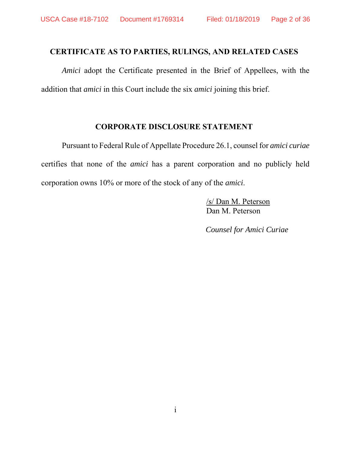# **CERTIFICATE AS TO PARTIES, RULINGS, AND RELATED CASES**

*Amici* adopt the Certificate presented in the Brief of Appellees, with the addition that *amici* in this Court include the six *amici* joining this brief.

### **CORPORATE DISCLOSURE STATEMENT**

Pursuant to Federal Rule of Appellate Procedure 26.1, counsel for *amici curiae* certifies that none of the *amici* has a parent corporation and no publicly held corporation owns 10% or more of the stock of any of the *amici*.

> /s/ Dan M. Peterson Dan M. Peterson

*Counsel for Amici Curiae*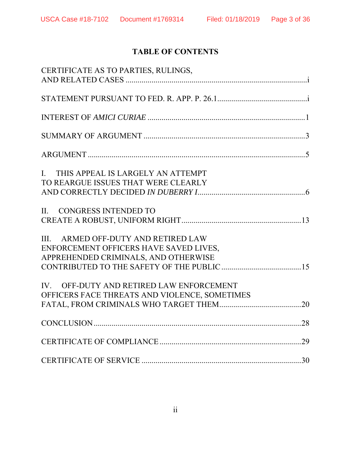# **TABLE OF CONTENTS**

| CERTIFICATE AS TO PARTIES, RULINGS,                                                                                     |  |
|-------------------------------------------------------------------------------------------------------------------------|--|
|                                                                                                                         |  |
|                                                                                                                         |  |
|                                                                                                                         |  |
|                                                                                                                         |  |
| I. THIS APPEAL IS LARGELY AN ATTEMPT<br>TO REARGUE ISSUES THAT WERE CLEARLY                                             |  |
| II. CONGRESS INTENDED TO                                                                                                |  |
| ARMED OFF-DUTY AND RETIRED LAW<br>III<br>ENFORCEMENT OFFICERS HAVE SAVED LIVES,<br>APPREHENDED CRIMINALS, AND OTHERWISE |  |
| IV. OFF-DUTY AND RETIRED LAW ENFORCEMENT<br>OFFICERS FACE THREATS AND VIOLENCE, SOMETIMES                               |  |
| CONCLUSION 28                                                                                                           |  |
|                                                                                                                         |  |
|                                                                                                                         |  |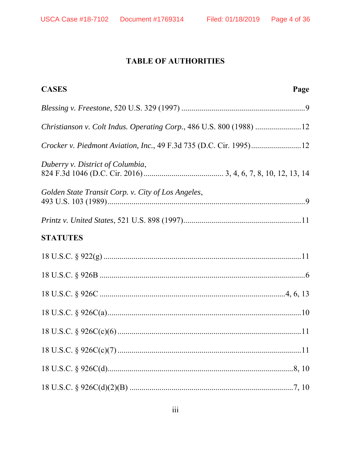# **TABLE OF AUTHORITIES**

| <b>CASES</b>                                                        | Page |
|---------------------------------------------------------------------|------|
|                                                                     |      |
| Christianson v. Colt Indus. Operating Corp., 486 U.S. 800 (1988) 12 |      |
|                                                                     |      |
| Duberry v. District of Columbia,                                    |      |
| Golden State Transit Corp. v. City of Los Angeles,                  |      |
|                                                                     |      |
| <b>STATUTES</b>                                                     |      |
|                                                                     |      |
|                                                                     |      |
|                                                                     |      |
|                                                                     |      |
|                                                                     |      |
|                                                                     |      |
|                                                                     |      |
|                                                                     |      |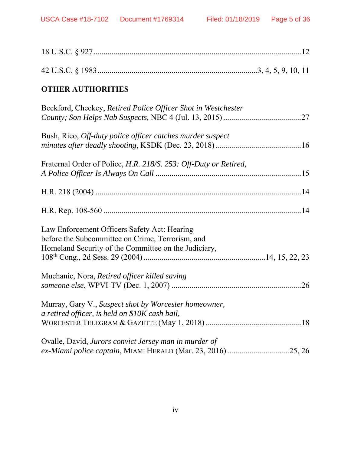| <b>OTHER AUTHORITIES</b>                                                                                                                                 |  |
|----------------------------------------------------------------------------------------------------------------------------------------------------------|--|
| Beckford, Checkey, Retired Police Officer Shot in Westchester                                                                                            |  |
| Bush, Rico, <i>Off-duty police officer catches murder suspect</i>                                                                                        |  |
| Fraternal Order of Police, H.R. 218/S. 253: Off-Duty or Retired,                                                                                         |  |
|                                                                                                                                                          |  |
|                                                                                                                                                          |  |
| Law Enforcement Officers Safety Act: Hearing<br>before the Subcommittee on Crime, Terrorism, and<br>Homeland Security of the Committee on the Judiciary, |  |
| Muchanic, Nora, Retired officer killed saving                                                                                                            |  |
| Murray, Gary V., Suspect shot by Worcester homeowner,<br>a retired officer, is held on \$10K cash bail,                                                  |  |
| Ovalle, David, Jurors convict Jersey man in murder of<br>ex-Miami police captain, MIAMI HERALD (Mar. 23, 2016) 25, 26                                    |  |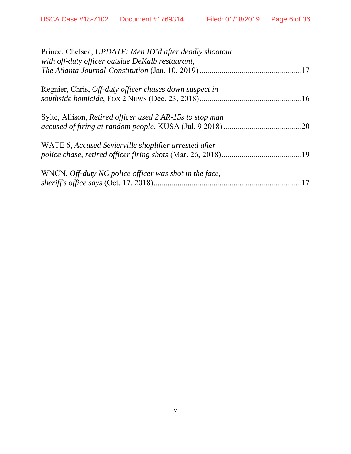| Prince, Chelsea, UPDATE: Men ID'd after deadly shootout<br>with off-duty officer outside DeKalb restaurant, |     |
|-------------------------------------------------------------------------------------------------------------|-----|
|                                                                                                             |     |
| Regnier, Chris, Off-duty officer chases down suspect in                                                     |     |
|                                                                                                             |     |
| Sylte, Allison, <i>Retired officer used 2 AR-15s to stop man</i>                                            |     |
|                                                                                                             | .20 |
| WATE 6, Accused Sevierville shoplifter arrested after                                                       |     |
|                                                                                                             |     |
| WNCN, Off-duty NC police officer was shot in the face,                                                      |     |
|                                                                                                             |     |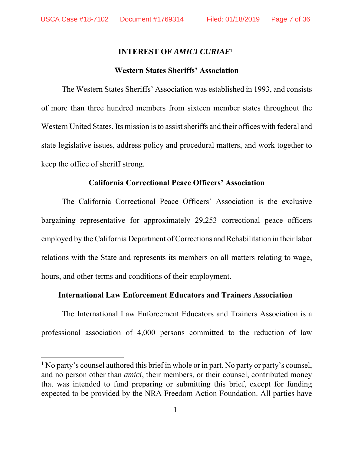$\overline{a}$ 

# **INTEREST OF** *AMICI CURIAE***<sup>1</sup>**

### **Western States Sheriffs' Association**

The Western States Sheriffs' Association was established in 1993, and consists of more than three hundred members from sixteen member states throughout the Western United States. Its mission is to assist sheriffs and their offices with federal and state legislative issues, address policy and procedural matters, and work together to keep the office of sheriff strong.

### **California Correctional Peace Officers' Association**

The California Correctional Peace Officers' Association is the exclusive bargaining representative for approximately 29,253 correctional peace officers employed by the California Department of Corrections and Rehabilitation in their labor relations with the State and represents its members on all matters relating to wage, hours, and other terms and conditions of their employment.

# **International Law Enforcement Educators and Trainers Association**

 The International Law Enforcement Educators and Trainers Association is a professional association of 4,000 persons committed to the reduction of law

<sup>&</sup>lt;sup>1</sup> No party's counsel authored this brief in whole or in part. No party or party's counsel, and no person other than *amici*, their members, or their counsel, contributed money that was intended to fund preparing or submitting this brief, except for funding expected to be provided by the NRA Freedom Action Foundation. All parties have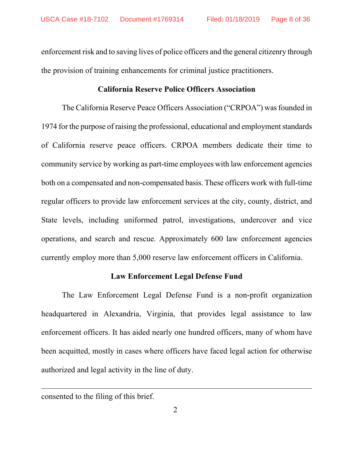enforcement risk and to saving lives of police officers and the general citizenry through the provision of training enhancements for criminal justice practitioners.

### **California Reserve Police Officers Association**

 The California Reserve Peace Officers Association ("CRPOA") was founded in 1974 for the purpose of raising the professional, educational and employment standards of California reserve peace officers. CRPOA members dedicate their time to community service by working as part-time employees with law enforcement agencies both on a compensated and non-compensated basis. These officers work with full-time regular officers to provide law enforcement services at the city, county, district, and State levels, including uniformed patrol, investigations, undercover and vice operations, and search and rescue. Approximately 600 law enforcement agencies currently employ more than 5,000 reserve law enforcement officers in California.

### **Law Enforcement Legal Defense Fund**

 The Law Enforcement Legal Defense Fund is a non-profit organization headquartered in Alexandria, Virginia, that provides legal assistance to law enforcement officers. It has aided nearly one hundred officers, many of whom have been acquitted, mostly in cases where officers have faced legal action for otherwise authorized and legal activity in the line of duty.

consented to the filing of this brief.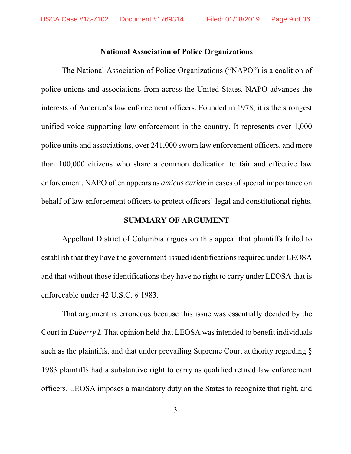### **National Association of Police Organizations**

The National Association of Police Organizations ("NAPO") is a coalition of police unions and associations from across the United States. NAPO advances the interests of America's law enforcement officers. Founded in 1978, it is the strongest unified voice supporting law enforcement in the country. It represents over 1,000 police units and associations, over 241,000 sworn law enforcement officers, and more than 100,000 citizens who share a common dedication to fair and effective law enforcement. NAPO often appears as *amicus curiae* in cases of special importance on behalf of law enforcement officers to protect officers' legal and constitutional rights.

#### **SUMMARY OF ARGUMENT**

Appellant District of Columbia argues on this appeal that plaintiffs failed to establish that they have the government-issued identifications required under LEOSA and that without those identifications they have no right to carry under LEOSA that is enforceable under 42 U.S.C. § 1983.

That argument is erroneous because this issue was essentially decided by the Court in *Duberry I.* That opinion held that LEOSA was intended to benefit individuals such as the plaintiffs, and that under prevailing Supreme Court authority regarding § 1983 plaintiffs had a substantive right to carry as qualified retired law enforcement officers. LEOSA imposes a mandatory duty on the States to recognize that right, and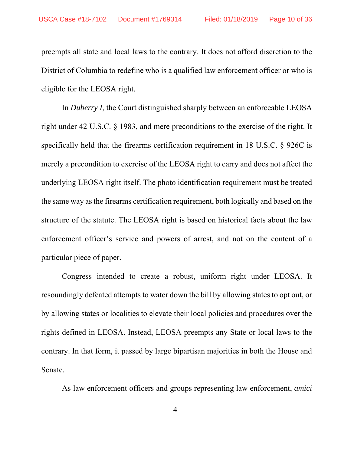preempts all state and local laws to the contrary. It does not afford discretion to the District of Columbia to redefine who is a qualified law enforcement officer or who is eligible for the LEOSA right.

In *Duberry I*, the Court distinguished sharply between an enforceable LEOSA right under 42 U.S.C. § 1983, and mere preconditions to the exercise of the right. It specifically held that the firearms certification requirement in 18 U.S.C. § 926C is merely a precondition to exercise of the LEOSA right to carry and does not affect the underlying LEOSA right itself. The photo identification requirement must be treated the same way as the firearms certification requirement, both logically and based on the structure of the statute. The LEOSA right is based on historical facts about the law enforcement officer's service and powers of arrest, and not on the content of a particular piece of paper.

Congress intended to create a robust, uniform right under LEOSA. It resoundingly defeated attempts to water down the bill by allowing states to opt out, or by allowing states or localities to elevate their local policies and procedures over the rights defined in LEOSA. Instead, LEOSA preempts any State or local laws to the contrary. In that form, it passed by large bipartisan majorities in both the House and Senate.

As law enforcement officers and groups representing law enforcement, *amici*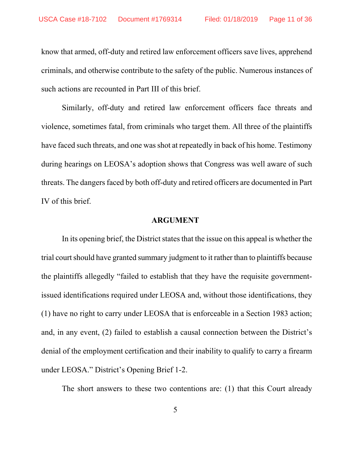know that armed, off-duty and retired law enforcement officers save lives, apprehend criminals, and otherwise contribute to the safety of the public. Numerous instances of such actions are recounted in Part III of this brief.

Similarly, off-duty and retired law enforcement officers face threats and violence, sometimes fatal, from criminals who target them. All three of the plaintiffs have faced such threats, and one was shot at repeatedly in back of his home. Testimony during hearings on LEOSA's adoption shows that Congress was well aware of such threats. The dangers faced by both off-duty and retired officers are documented in Part IV of this brief.

#### **ARGUMENT**

In its opening brief, the District states that the issue on this appeal is whether the trial court should have granted summary judgment to it rather than to plaintiffs because the plaintiffs allegedly "failed to establish that they have the requisite governmentissued identifications required under LEOSA and, without those identifications, they (1) have no right to carry under LEOSA that is enforceable in a Section 1983 action; and, in any event, (2) failed to establish a causal connection between the District's denial of the employment certification and their inability to qualify to carry a firearm under LEOSA." District's Opening Brief 1-2.

The short answers to these two contentions are: (1) that this Court already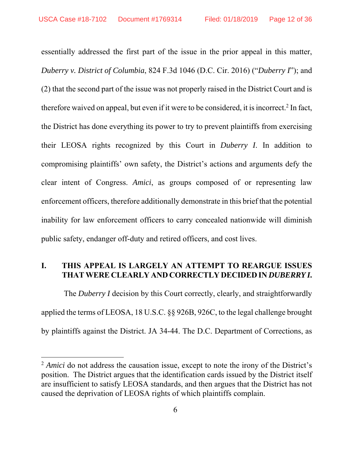essentially addressed the first part of the issue in the prior appeal in this matter, *Duberry v. District of Columbia*, 824 F.3d 1046 (D.C. Cir. 2016) ("*Duberry I*"); and (2) that the second part of the issue was not properly raised in the District Court and is therefore waived on appeal, but even if it were to be considered, it is incorrect.<sup>2</sup> In fact, the District has done everything its power to try to prevent plaintiffs from exercising their LEOSA rights recognized by this Court in *Duberry I*. In addition to compromising plaintiffs' own safety, the District's actions and arguments defy the clear intent of Congress. *Amici*, as groups composed of or representing law enforcement officers, therefore additionally demonstrate in this brief that the potential inability for law enforcement officers to carry concealed nationwide will diminish public safety, endanger off-duty and retired officers, and cost lives.

# **I. THIS APPEAL IS LARGELY AN ATTEMPT TO REARGUE ISSUES THAT WERE CLEARLY AND CORRECTLY DECIDED IN** *DUBERRY I***.**

 The *Duberry I* decision by this Court correctly, clearly, and straightforwardly applied the terms of LEOSA, 18 U.S.C. §§ 926B, 926C, to the legal challenge brought by plaintiffs against the District. JA 34-44. The D.C. Department of Corrections, as

<sup>&</sup>lt;sup>2</sup> *Amici* do not address the causation issue, except to note the irony of the District's position. The District argues that the identification cards issued by the District itself are insufficient to satisfy LEOSA standards, and then argues that the District has not caused the deprivation of LEOSA rights of which plaintiffs complain.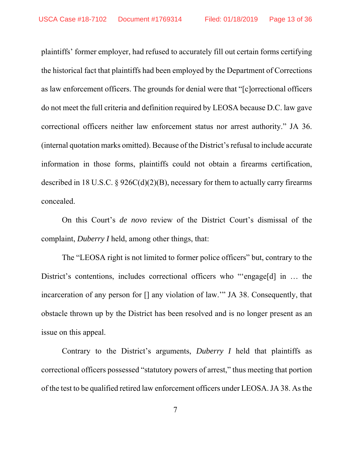plaintiffs' former employer, had refused to accurately fill out certain forms certifying the historical fact that plaintiffs had been employed by the Department of Corrections as law enforcement officers. The grounds for denial were that "[c]orrectional officers do not meet the full criteria and definition required by LEOSA because D.C. law gave correctional officers neither law enforcement status nor arrest authority." JA 36. (internal quotation marks omitted). Because of the District's refusal to include accurate information in those forms, plaintiffs could not obtain a firearms certification, described in 18 U.S.C.  $\frac{6}{926C(d)(2)(B)}$ , necessary for them to actually carry firearms concealed.

 On this Court's *de novo* review of the District Court's dismissal of the complaint, *Duberry I* held, among other things, that:

The "LEOSA right is not limited to former police officers" but, contrary to the District's contentions, includes correctional officers who "engage[d] in ... the incarceration of any person for [] any violation of law.'" JA 38. Consequently, that obstacle thrown up by the District has been resolved and is no longer present as an issue on this appeal.

Contrary to the District's arguments, *Duberry I* held that plaintiffs as correctional officers possessed "statutory powers of arrest," thus meeting that portion of the test to be qualified retired law enforcement officers under LEOSA. JA 38. As the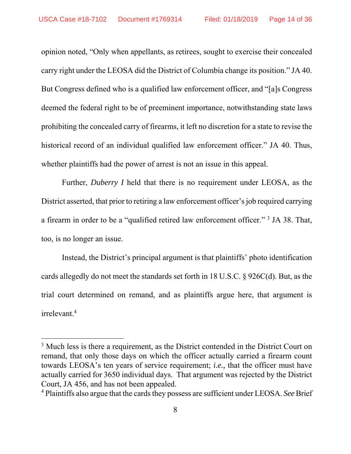opinion noted, "Only when appellants, as retirees, sought to exercise their concealed carry right under the LEOSA did the District of Columbia change its position." JA 40. But Congress defined who is a qualified law enforcement officer, and "[a]s Congress deemed the federal right to be of preeminent importance, notwithstanding state laws prohibiting the concealed carry of firearms, it left no discretion for a state to revise the historical record of an individual qualified law enforcement officer." JA 40. Thus, whether plaintiffs had the power of arrest is not an issue in this appeal.

Further, *Duberry I* held that there is no requirement under LEOSA, as the District asserted, that prior to retiring a law enforcement officer's job required carrying a firearm in order to be a "qualified retired law enforcement officer."<sup>3</sup> JA 38. That, too, is no longer an issue.

 Instead, the District's principal argument is that plaintiffs' photo identification cards allegedly do not meet the standards set forth in 18 U.S.C. § 926C(d). But, as the trial court determined on remand, and as plaintiffs argue here, that argument is irrelevant.4

<sup>&</sup>lt;sup>3</sup> Much less is there a requirement, as the District contended in the District Court on remand, that only those days on which the officer actually carried a firearm count towards LEOSA's ten years of service requirement; *i.e.,* that the officer must have actually carried for 3650 individual days. That argument was rejected by the District Court, JA 456, and has not been appealed.

<sup>4</sup> Plaintiffs also argue that the cards they possess are sufficient under LEOSA. *See* Brief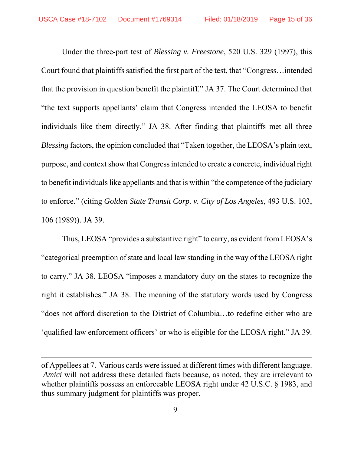Under the three-part test of *Blessing v. Freestone*, 520 U.S. 329 (1997), this Court found that plaintiffs satisfied the first part of the test, that "Congress…intended that the provision in question benefit the plaintiff." JA 37. The Court determined that "the text supports appellants' claim that Congress intended the LEOSA to benefit individuals like them directly." JA 38. After finding that plaintiffs met all three *Blessing* factors, the opinion concluded that "Taken together, the LEOSA's plain text, purpose, and context show that Congress intended to create a concrete, individual right to benefit individuals like appellants and that is within "the competence of the judiciary to enforce." (citing *Golden State Transit Corp. v. City of Los Angeles*, 493 U.S. 103, 106 (1989)). JA 39.

Thus, LEOSA "provides a substantive right" to carry, as evident from LEOSA's "categorical preemption of state and local law standing in the way of the LEOSA right to carry." JA 38. LEOSA "imposes a mandatory duty on the states to recognize the right it establishes." JA 38. The meaning of the statutory words used by Congress "does not afford discretion to the District of Columbia…to redefine either who are 'qualified law enforcement officers' or who is eligible for the LEOSA right." JA 39.

of Appellees at 7. Various cards were issued at different times with different language. *Amici* will not address these detailed facts because, as noted, they are irrelevant to whether plaintiffs possess an enforceable LEOSA right under 42 U.S.C. § 1983, and thus summary judgment for plaintiffs was proper.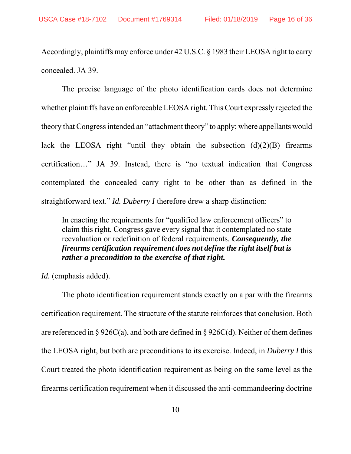Accordingly, plaintiffs may enforce under 42 U.S.C. § 1983 their LEOSA right to carry concealed. JA 39.

The precise language of the photo identification cards does not determine whether plaintiffs have an enforceable LEOSA right. This Court expressly rejected the theory that Congress intended an "attachment theory" to apply; where appellants would lack the LEOSA right "until they obtain the subsection  $(d)(2)(B)$  firearms certification…" JA 39. Instead, there is "no textual indication that Congress contemplated the concealed carry right to be other than as defined in the straightforward text." *Id. Duberry I* therefore drew a sharp distinction:

In enacting the requirements for "qualified law enforcement officers" to claim this right, Congress gave every signal that it contemplated no state reevaluation or redefinition of federal requirements. *Consequently, the firearms certification requirement does not define the right itself but is rather a precondition to the exercise of that right.*

*Id.* (emphasis added).

The photo identification requirement stands exactly on a par with the firearms certification requirement. The structure of the statute reinforces that conclusion. Both are referenced in § 926C(a), and both are defined in § 926C(d). Neither of them defines the LEOSA right, but both are preconditions to its exercise. Indeed, in *Duberry I* this Court treated the photo identification requirement as being on the same level as the firearms certification requirement when it discussed the anti-commandeering doctrine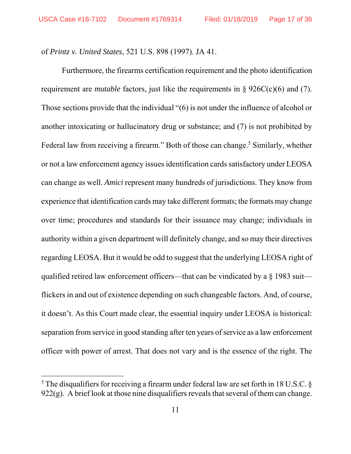of *Printz v. United States*, 521 U.S. 898 (1997). JA 41.

Furthermore, the firearms certification requirement and the photo identification requirement are *mutable* factors, just like the requirements in § 926C(c)(6) and (7). Those sections provide that the individual "(6) is not under the influence of alcohol or another intoxicating or hallucinatory drug or substance; and (7) is not prohibited by Federal law from receiving a firearm." Both of those can change.<sup>5</sup> Similarly, whether or not a law enforcement agency issues identification cards satisfactory under LEOSA can change as well. *Amici* represent many hundreds of jurisdictions. They know from experience that identification cards may take different formats; the formats may change over time; procedures and standards for their issuance may change; individuals in authority within a given department will definitely change, and so may their directives regarding LEOSA. But it would be odd to suggest that the underlying LEOSA right of qualified retired law enforcement officers—that can be vindicated by a § 1983 suit flickers in and out of existence depending on such changeable factors. And, of course, it doesn't. As this Court made clear, the essential inquiry under LEOSA is historical: separation from service in good standing after ten years of service as a law enforcement officer with power of arrest. That does not vary and is the essence of the right. The

<sup>&</sup>lt;sup>5</sup> The disqualifiers for receiving a firearm under federal law are set forth in 18 U.S.C.  $\S$  $922(g)$ . A brief look at those nine disqualifiers reveals that several of them can change.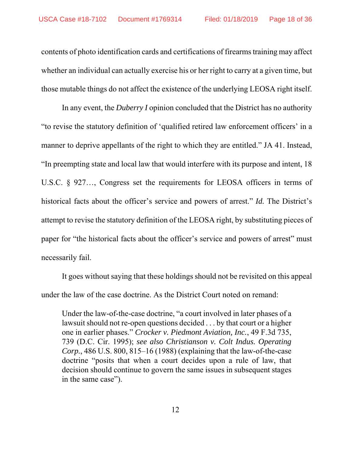contents of photo identification cards and certifications of firearms training may affect whether an individual can actually exercise his or her right to carry at a given time, but those mutable things do not affect the existence of the underlying LEOSA right itself.

In any event, the *Duberry I* opinion concluded that the District has no authority "to revise the statutory definition of 'qualified retired law enforcement officers' in a manner to deprive appellants of the right to which they are entitled." JA 41. Instead, "In preempting state and local law that would interfere with its purpose and intent, 18 U.S.C. § 927…, Congress set the requirements for LEOSA officers in terms of historical facts about the officer's service and powers of arrest." *Id.* The District's attempt to revise the statutory definition of the LEOSA right, by substituting pieces of paper for "the historical facts about the officer's service and powers of arrest" must necessarily fail.

 It goes without saying that these holdings should not be revisited on this appeal under the law of the case doctrine. As the District Court noted on remand:

Under the law-of-the-case doctrine, "a court involved in later phases of a lawsuit should not re-open questions decided . . . by that court or a higher one in earlier phases." *Crocker v. Piedmont Aviation, Inc.*, 49 F.3d 735, 739 (D.C. Cir. 1995); *see also Christianson v. Colt Indus. Operating Corp.*, 486 U.S. 800, 815–16 (1988) (explaining that the law-of-the-case doctrine "posits that when a court decides upon a rule of law, that decision should continue to govern the same issues in subsequent stages in the same case").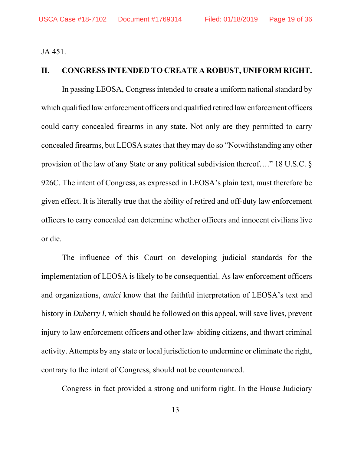JA 451.

#### **II. CONGRESS INTENDED TO CREATE A ROBUST, UNIFORM RIGHT.**

In passing LEOSA, Congress intended to create a uniform national standard by which qualified law enforcement officers and qualified retired law enforcement officers could carry concealed firearms in any state. Not only are they permitted to carry concealed firearms, but LEOSA states that they may do so "Notwithstanding any other provision of the law of any State or any political subdivision thereof…." 18 U.S.C. § 926C. The intent of Congress, as expressed in LEOSA's plain text, must therefore be given effect. It is literally true that the ability of retired and off-duty law enforcement officers to carry concealed can determine whether officers and innocent civilians live or die.

The influence of this Court on developing judicial standards for the implementation of LEOSA is likely to be consequential. As law enforcement officers and organizations, *amici* know that the faithful interpretation of LEOSA's text and history in *Duberry I*, which should be followed on this appeal, will save lives, prevent injury to law enforcement officers and other law-abiding citizens, and thwart criminal activity. Attempts by any state or local jurisdiction to undermine or eliminate the right, contrary to the intent of Congress, should not be countenanced.

Congress in fact provided a strong and uniform right. In the House Judiciary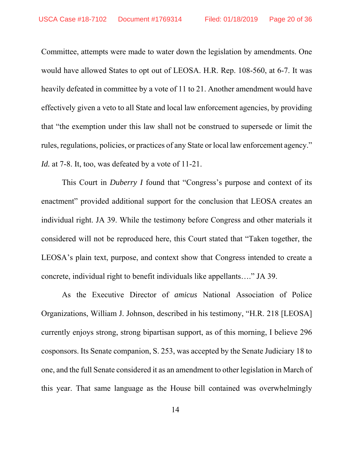Committee, attempts were made to water down the legislation by amendments. One would have allowed States to opt out of LEOSA. H.R. Rep. 108-560, at 6-7. It was heavily defeated in committee by a vote of 11 to 21. Another amendment would have effectively given a veto to all State and local law enforcement agencies, by providing that "the exemption under this law shall not be construed to supersede or limit the rules, regulations, policies, or practices of any State or local law enforcement agency." *Id.* at 7-8. It, too, was defeated by a vote of 11-21.

 This Court in *Duberry I* found that "Congress's purpose and context of its enactment" provided additional support for the conclusion that LEOSA creates an individual right. JA 39. While the testimony before Congress and other materials it considered will not be reproduced here, this Court stated that "Taken together, the LEOSA's plain text, purpose, and context show that Congress intended to create a concrete, individual right to benefit individuals like appellants…." JA 39.

As the Executive Director of *amicus* National Association of Police Organizations, William J. Johnson, described in his testimony, "H.R. 218 [LEOSA] currently enjoys strong, strong bipartisan support, as of this morning, I believe 296 cosponsors. Its Senate companion, S. 253, was accepted by the Senate Judiciary 18 to one, and the full Senate considered it as an amendment to other legislation in March of this year. That same language as the House bill contained was overwhelmingly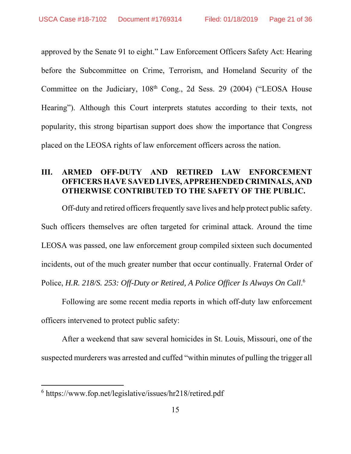approved by the Senate 91 to eight." Law Enforcement Officers Safety Act: Hearing before the Subcommittee on Crime, Terrorism, and Homeland Security of the Committee on the Judiciary,  $108<sup>th</sup>$  Cong., 2d Sess. 29 (2004) ("LEOSA House Hearing"). Although this Court interprets statutes according to their texts, not popularity, this strong bipartisan support does show the importance that Congress placed on the LEOSA rights of law enforcement officers across the nation.

# **III. ARMED OFF-DUTY AND RETIRED LAW ENFORCEMENT OFFICERS HAVE SAVED LIVES, APPREHENDED CRIMINALS, AND OTHERWISE CONTRIBUTED TO THE SAFETY OF THE PUBLIC.**

 Off-duty and retired officers frequently save lives and help protect public safety. Such officers themselves are often targeted for criminal attack. Around the time LEOSA was passed, one law enforcement group compiled sixteen such documented incidents, out of the much greater number that occur continually. Fraternal Order of Police, *H.R. 218/S. 253: Off-Duty or Retired, A Police Officer Is Always On Call.*<sup>6</sup>

Following are some recent media reports in which off-duty law enforcement officers intervened to protect public safety:

After a weekend that saw several homicides in St. Louis, Missouri, one of the suspected murderers was arrested and cuffed "within minutes of pulling the trigger all

<sup>6</sup> https://www.fop.net/legislative/issues/hr218/retired.pdf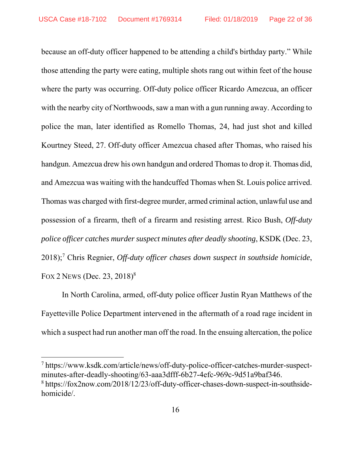because an off-duty officer happened to be attending a child's birthday party." While those attending the party were eating, multiple shots rang out within feet of the house where the party was occurring. Off-duty police officer Ricardo Amezcua, an officer with the nearby city of Northwoods, saw a man with a gun running away. According to police the man, later identified as Romello Thomas, 24, had just shot and killed Kourtney Steed, 27. Off-duty officer Amezcua chased after Thomas, who raised his handgun. Amezcua drew his own handgun and ordered Thomas to drop it. Thomas did, and Amezcua was waiting with the handcuffed Thomas when St. Louis police arrived. Thomas was charged with first-degree murder, armed criminal action, unlawful use and possession of a firearm, theft of a firearm and resisting arrest. Rico Bush, *Off-duty police officer catches murder suspect minutes after deadly shooting*, KSDK (Dec. 23, 2018);7 Chris Regnier, *Off-duty officer chases down suspect in southside homicide*, FOX 2 NEWS (Dec. 23, 2018)<sup>8</sup>

In North Carolina, armed, off-duty police officer Justin Ryan Matthews of the Fayetteville Police Department intervened in the aftermath of a road rage incident in which a suspect had run another man off the road. In the ensuing altercation, the police

7 https://www.ksdk.com/article/news/off-duty-police-officer-catches-murder-suspectminutes-after-deadly-shooting/63-aaa3dfff-6b27-4efc-969c-9d51a9baf346. 8 https://fox2now.com/2018/12/23/off-duty-officer-chases-down-suspect-in-southsidehomicide/.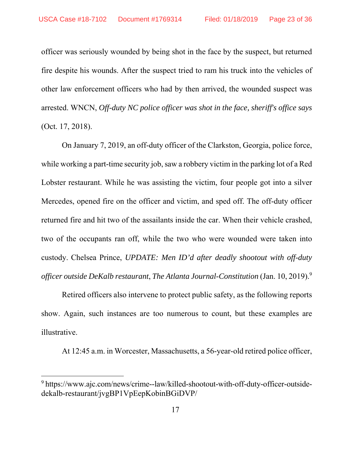officer was seriously wounded by being shot in the face by the suspect, but returned fire despite his wounds. After the suspect tried to ram his truck into the vehicles of other law enforcement officers who had by then arrived, the wounded suspect was arrested. WNCN, *Off-duty NC police officer was shot in the face, sheriff's office says* (Oct. 17, 2018).

On January 7, 2019, an off-duty officer of the Clarkston, Georgia, police force, while working a part-time security job, saw a robbery victim in the parking lot of a Red Lobster restaurant. While he was assisting the victim, four people got into a silver Mercedes, opened fire on the officer and victim, and sped off. The off-duty officer returned fire and hit two of the assailants inside the car. When their vehicle crashed, two of the occupants ran off, while the two who were wounded were taken into custody. Chelsea Prince, *UPDATE: Men ID'd after deadly shootout with off-duty officer outside DeKalb restaurant*, *The Atlanta Journal-Constitution* (Jan. 10, 2019).9

Retired officers also intervene to protect public safety, as the following reports show. Again, such instances are too numerous to count, but these examples are illustrative.

At 12:45 a.m. in Worcester, Massachusetts, a 56-year-old retired police officer,

<sup>&</sup>lt;sup>9</sup> https://www.ajc.com/news/crime--law/killed-shootout-with-off-duty-officer-outsidedekalb-restaurant/jvgBP1VpEepKobinBGiDVP/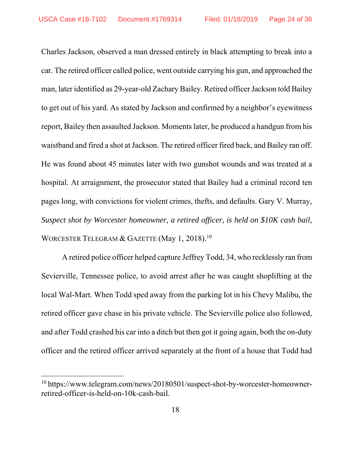Charles Jackson, observed a man dressed entirely in black attempting to break into a car. The retired officer called police, went outside carrying his gun, and approached the man, later identified as 29-year-old Zachary Bailey. Retired officer Jackson told Bailey to get out of his yard. As stated by Jackson and confirmed by a neighbor's eyewitness report, Bailey then assaulted Jackson. Moments later, he produced a handgun from his waistband and fired a shot at Jackson. The retired officer fired back, and Bailey ran off. He was found about 45 minutes later with two gunshot wounds and was treated at a hospital. At arraignment, the prosecutor stated that Bailey had a criminal record ten pages long, with convictions for violent crimes, thefts, and defaults. Gary V. Murray, *Suspect shot by Worcester homeowner, a retired officer, is held on \$10K cash bail,*  WORCESTER TELEGRAM  $&$  GAZETTE (May 1, 2018).<sup>10</sup>

A retired police officer helped capture Jeffrey Todd, 34, who recklessly ran from Sevierville, Tennessee police, to avoid arrest after he was caught shoplifting at the local Wal-Mart. When Todd sped away from the parking lot in his Chevy Malibu, the retired officer gave chase in his private vehicle. The Sevierville police also followed, and after Todd crashed his car into a ditch but then got it going again, both the on-duty officer and the retired officer arrived separately at the front of a house that Todd had

<sup>10</sup> https://www.telegram.com/news/20180501/suspect-shot-by-worcester-homeownerretired-officer-is-held-on-10k-cash-bail.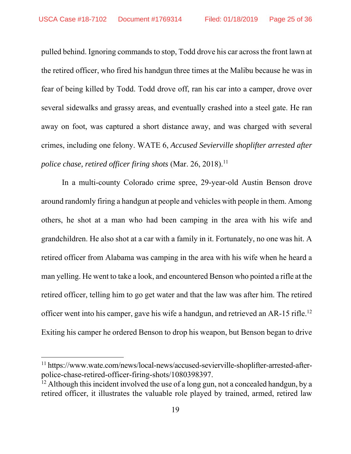pulled behind. Ignoring commands to stop, Todd drove his car across the front lawn at the retired officer, who fired his handgun three times at the Malibu because he was in fear of being killed by Todd. Todd drove off, ran his car into a camper, drove over several sidewalks and grassy areas, and eventually crashed into a steel gate. He ran away on foot, was captured a short distance away, and was charged with several crimes, including one felony. WATE 6, *Accused Sevierville shoplifter arrested after police chase, retired officer firing shots* (Mar. 26, 2018).<sup>11</sup>

In a multi-county Colorado crime spree, 29-year-old Austin Benson drove around randomly firing a handgun at people and vehicles with people in them. Among others, he shot at a man who had been camping in the area with his wife and grandchildren. He also shot at a car with a family in it. Fortunately, no one was hit. A retired officer from Alabama was camping in the area with his wife when he heard a man yelling. He went to take a look, and encountered Benson who pointed a rifle at the retired officer, telling him to go get water and that the law was after him. The retired officer went into his camper, gave his wife a handgun, and retrieved an AR-15 rifle.12 Exiting his camper he ordered Benson to drop his weapon, but Benson began to drive

<sup>&</sup>lt;sup>11</sup> https://www.wate.com/news/local-news/accused-sevierville-shoplifter-arrested-afterpolice-chase-retired-officer-firing-shots/1080398397.

 $12$  Although this incident involved the use of a long gun, not a concealed handgun, by a retired officer, it illustrates the valuable role played by trained, armed, retired law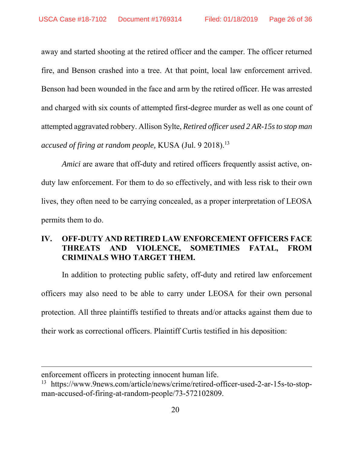away and started shooting at the retired officer and the camper. The officer returned fire, and Benson crashed into a tree. At that point, local law enforcement arrived. Benson had been wounded in the face and arm by the retired officer. He was arrested and charged with six counts of attempted first-degree murder as well as one count of attempted aggravated robbery. Allison Sylte, *Retired officer used 2 AR-15s to stop man accused of firing at random people,* KUSA (Jul. 9 2018).13

*Amici* are aware that off-duty and retired officers frequently assist active, onduty law enforcement. For them to do so effectively, and with less risk to their own lives, they often need to be carrying concealed, as a proper interpretation of LEOSA permits them to do.

# **IV. OFF-DUTY AND RETIRED LAW ENFORCEMENT OFFICERS FACE THREATS AND VIOLENCE, SOMETIMES FATAL, FROM CRIMINALS WHO TARGET THEM.**

In addition to protecting public safety, off-duty and retired law enforcement officers may also need to be able to carry under LEOSA for their own personal protection. All three plaintiffs testified to threats and/or attacks against them due to their work as correctional officers. Plaintiff Curtis testified in his deposition:

enforcement officers in protecting innocent human life.

<sup>13</sup> https://www.9news.com/article/news/crime/retired-officer-used-2-ar-15s-to-stopman-accused-of-firing-at-random-people/73-572102809.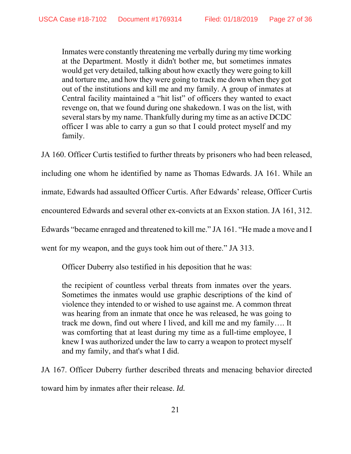Inmates were constantly threatening me verbally during my time working at the Department. Mostly it didn't bother me, but sometimes inmates would get very detailed, talking about how exactly they were going to kill and torture me, and how they were going to track me down when they got out of the institutions and kill me and my family. A group of inmates at Central facility maintained a "hit list" of officers they wanted to exact revenge on, that we found during one shakedown. I was on the list, with several stars by my name. Thankfully during my time as an active DCDC officer I was able to carry a gun so that I could protect myself and my family.

JA 160. Officer Curtis testified to further threats by prisoners who had been released,

including one whom he identified by name as Thomas Edwards. JA 161. While an

inmate, Edwards had assaulted Officer Curtis. After Edwards' release, Officer Curtis

encountered Edwards and several other ex-convicts at an Exxon station. JA 161, 312.

Edwards "became enraged and threatened to kill me." JA 161. "He made a move and I

went for my weapon, and the guys took him out of there." JA 313.

Officer Duberry also testified in his deposition that he was:

the recipient of countless verbal threats from inmates over the years. Sometimes the inmates would use graphic descriptions of the kind of violence they intended to or wished to use against me. A common threat was hearing from an inmate that once he was released, he was going to track me down, find out where I lived, and kill me and my family…. It was comforting that at least during my time as a full-time employee, I knew I was authorized under the law to carry a weapon to protect myself and my family, and that's what I did.

JA 167. Officer Duberry further described threats and menacing behavior directed toward him by inmates after their release. *Id.*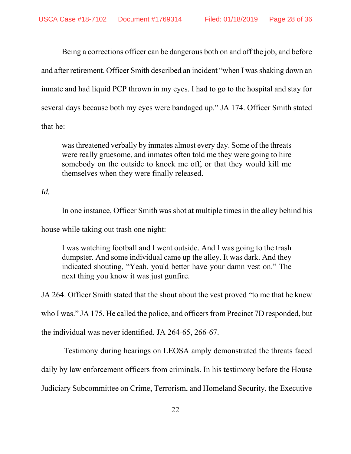Being a corrections officer can be dangerous both on and off the job, and before and after retirement. Officer Smith described an incident "when I was shaking down an inmate and had liquid PCP thrown in my eyes. I had to go to the hospital and stay for several days because both my eyes were bandaged up." JA 174. Officer Smith stated that he:

was threatened verbally by inmates almost every day. Some of the threats were really gruesome, and inmates often told me they were going to hire somebody on the outside to knock me off, or that they would kill me themselves when they were finally released.

## *Id.*

In one instance, Officer Smith was shot at multiple times in the alley behind his

house while taking out trash one night:

I was watching football and I went outside. And I was going to the trash dumpster. And some individual came up the alley. It was dark. And they indicated shouting, "Yeah, you'd better have your damn vest on." The next thing you know it was just gunfire.

JA 264. Officer Smith stated that the shout about the vest proved "to me that he knew

who I was." JA 175. He called the police, and officers from Precinct 7D responded, but

the individual was never identified. JA 264-65, 266-67.

Testimony during hearings on LEOSA amply demonstrated the threats faced

daily by law enforcement officers from criminals. In his testimony before the House

Judiciary Subcommittee on Crime, Terrorism, and Homeland Security, the Executive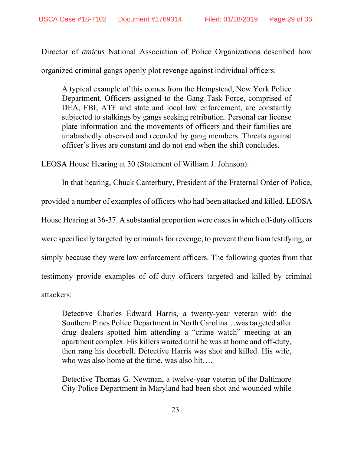Director of *amicus* National Association of Police Organizations described how organized criminal gangs openly plot revenge against individual officers:

A typical example of this comes from the Hempstead, New York Police Department. Officers assigned to the Gang Task Force, comprised of DEA, FBI, ATF and state and local law enforcement, are constantly subjected to stalkings by gangs seeking retribution. Personal car license plate information and the movements of officers and their families are unabashedly observed and recorded by gang members. Threats against officer's lives are constant and do not end when the shift concludes.

LEOSA House Hearing at 30 (Statement of William J. Johnson).

In that hearing, Chuck Canterbury, President of the Fraternal Order of Police,

provided a number of examples of officers who had been attacked and killed. LEOSA

House Hearing at 36-37. A substantial proportion were cases in which off-duty officers

were specifically targeted by criminals for revenge, to prevent them from testifying, or

simply because they were law enforcement officers. The following quotes from that

testimony provide examples of off-duty officers targeted and killed by criminal

attackers:

Detective Charles Edward Harris, a twenty-year veteran with the Southern Pines Police Department in North Carolina…was targeted after drug dealers spotted him attending a "crime watch" meeting at an apartment complex. His killers waited until he was at home and off-duty, then rang his doorbell. Detective Harris was shot and killed. His wife, who was also home at the time, was also hit….

Detective Thomas G. Newman, a twelve-year veteran of the Baltimore City Police Department in Maryland had been shot and wounded while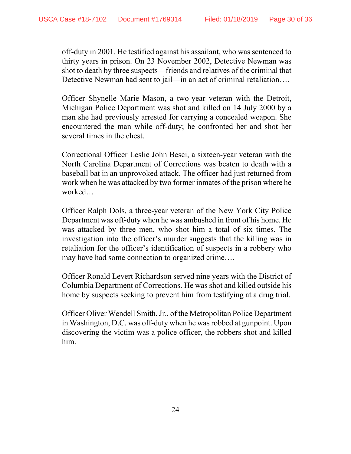off-duty in 2001. He testified against his assailant, who was sentenced to thirty years in prison. On 23 November 2002, Detective Newman was shot to death by three suspects—friends and relatives of the criminal that Detective Newman had sent to jail—in an act of criminal retaliation....

Officer Shynelle Marie Mason, a two-year veteran with the Detroit, Michigan Police Department was shot and killed on 14 July 2000 by a man she had previously arrested for carrying a concealed weapon. She encountered the man while off-duty; he confronted her and shot her several times in the chest.

Correctional Officer Leslie John Besci, a sixteen-year veteran with the North Carolina Department of Corrections was beaten to death with a baseball bat in an unprovoked attack. The officer had just returned from work when he was attacked by two former inmates of the prison where he worked….

Officer Ralph Dols, a three-year veteran of the New York City Police Department was off-duty when he was ambushed in front of his home. He was attacked by three men, who shot him a total of six times. The investigation into the officer's murder suggests that the killing was in retaliation for the officer's identification of suspects in a robbery who may have had some connection to organized crime….

Officer Ronald Levert Richardson served nine years with the District of Columbia Department of Corrections. He was shot and killed outside his home by suspects seeking to prevent him from testifying at a drug trial.

Officer Oliver Wendell Smith, Jr., of the Metropolitan Police Department in Washington, D.C. was off-duty when he was robbed at gunpoint. Upon discovering the victim was a police officer, the robbers shot and killed him.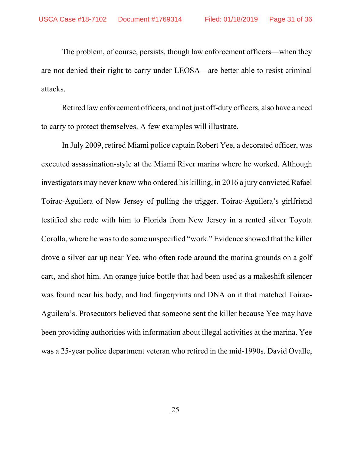The problem, of course, persists, though law enforcement officers—when they are not denied their right to carry under LEOSA—are better able to resist criminal attacks.

Retired law enforcement officers, and not just off-duty officers, also have a need to carry to protect themselves. A few examples will illustrate.

In July 2009, retired Miami police captain Robert Yee, a decorated officer, was executed assassination-style at the Miami River marina where he worked. Although investigators may never know who ordered his killing, in 2016 a jury convicted Rafael Toirac-Aguilera of New Jersey of pulling the trigger. Toirac-Aguilera's girlfriend testified she rode with him to Florida from New Jersey in a rented silver Toyota Corolla, where he was to do some unspecified "work." Evidence showed that the killer drove a silver car up near Yee, who often rode around the marina grounds on a golf cart, and shot him. An orange juice bottle that had been used as a makeshift silencer was found near his body, and had fingerprints and DNA on it that matched Toirac-Aguilera's. Prosecutors believed that someone sent the killer because Yee may have been providing authorities with information about illegal activities at the marina. Yee was a 25-year police department veteran who retired in the mid-1990s. David Ovalle,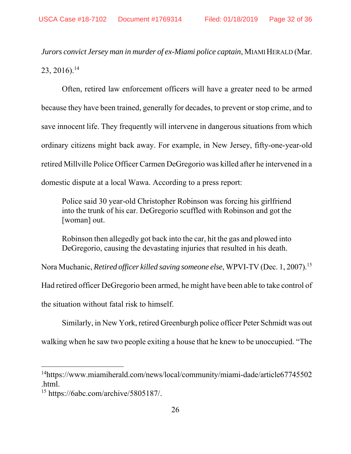*Jurors convict Jersey man in murder of ex-Miami police captain*, MIAMI HERALD (Mar.  $23, 2016$ .<sup>14</sup>

Often, retired law enforcement officers will have a greater need to be armed because they have been trained, generally for decades, to prevent or stop crime, and to save innocent life. They frequently will intervene in dangerous situations from which ordinary citizens might back away. For example, in New Jersey, fifty-one-year-old retired Millville Police Officer Carmen DeGregorio was killed after he intervened in a domestic dispute at a local Wawa. According to a press report:

Police said 30 year-old Christopher Robinson was forcing his girlfriend into the trunk of his car. DeGregorio scuffled with Robinson and got the [woman] out.

Robinson then allegedly got back into the car, hit the gas and plowed into DeGregorio, causing the devastating injuries that resulted in his death.

Nora Muchanic, *Retired officer killed saving someone else*, WPVI-TV (Dec. 1, 2007).15

Had retired officer DeGregorio been armed, he might have been able to take control of

the situation without fatal risk to himself.

 Similarly, in New York, retired Greenburgh police officer Peter Schmidt was out walking when he saw two people exiting a house that he knew to be unoccupied. "The

<sup>14</sup>https://www.miamiherald.com/news/local/community/miami-dade/article67745502 .html.

<sup>15</sup> https://6abc.com/archive/5805187/.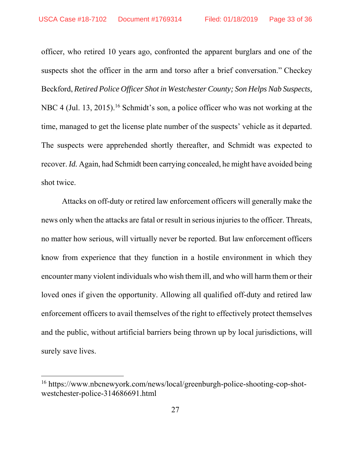officer, who retired 10 years ago, confronted the apparent burglars and one of the suspects shot the officer in the arm and torso after a brief conversation." Checkey Beckford, *Retired Police Officer Shot in Westchester County; Son Helps Nab Suspects,* NBC 4 (Jul. 13, 2015).<sup>16</sup> Schmidt's son, a police officer who was not working at the time, managed to get the license plate number of the suspects' vehicle as it departed. The suspects were apprehended shortly thereafter, and Schmidt was expected to recover. *Id.* Again, had Schmidt been carrying concealed, he might have avoided being shot twice.

Attacks on off-duty or retired law enforcement officers will generally make the news only when the attacks are fatal or result in serious injuries to the officer. Threats, no matter how serious, will virtually never be reported. But law enforcement officers know from experience that they function in a hostile environment in which they encounter many violent individuals who wish them ill, and who will harm them or their loved ones if given the opportunity. Allowing all qualified off-duty and retired law enforcement officers to avail themselves of the right to effectively protect themselves and the public, without artificial barriers being thrown up by local jurisdictions, will surely save lives.

<sup>16</sup> https://www.nbcnewyork.com/news/local/greenburgh-police-shooting-cop-shotwestchester-police-314686691.html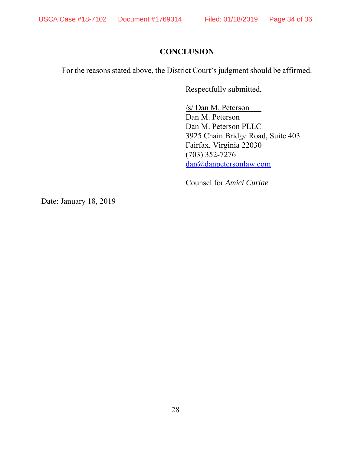# **CONCLUSION**

For the reasons stated above, the District Court's judgment should be affirmed.

Respectfully submitted,

/s/ Dan M. Peterson Dan M. Peterson Dan M. Peterson PLLC 3925 Chain Bridge Road, Suite 403 Fairfax, Virginia 22030 (703) 352-7276 dan@danpetersonlaw.com

Counsel for *Amici Curiae*

Date: January 18, 2019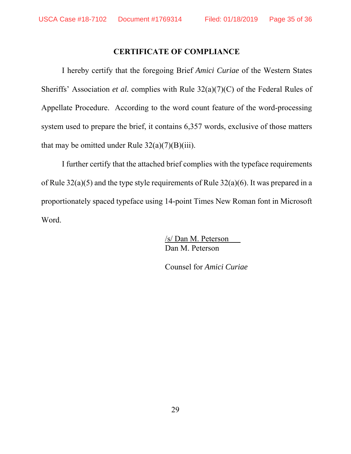## **CERTIFICATE OF COMPLIANCE**

 I hereby certify that the foregoing Brief *Amici Curiae* of the Western States Sheriffs' Association *et al.* complies with Rule 32(a)(7)(C) of the Federal Rules of Appellate Procedure. According to the word count feature of the word-processing system used to prepare the brief, it contains 6,357 words, exclusive of those matters that may be omitted under Rule  $32(a)(7)(B)(iii)$ .

 I further certify that the attached brief complies with the typeface requirements of Rule 32(a)(5) and the type style requirements of Rule 32(a)(6). It was prepared in a proportionately spaced typeface using 14-point Times New Roman font in Microsoft Word.

> /s/ Dan M. Peterson Dan M. Peterson

Counsel for *Amici Curiae*